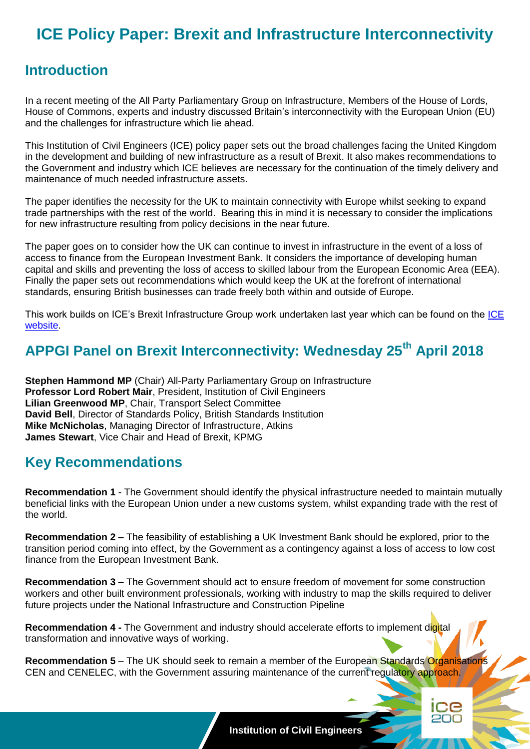# **ICE Policy Paper: Brexit and Infrastructure Interconnectivity**

### **Introduction**

In a recent meeting of the All Party Parliamentary Group on Infrastructure, Members of the House of Lords, House of Commons, experts and industry discussed Britain's interconnectivity with the European Union (EU) and the challenges for infrastructure which lie ahead.

This Institution of Civil Engineers (ICE) policy paper sets out the broad challenges facing the United Kingdom in the development and building of new infrastructure as a result of Brexit. It also makes recommendations to the Government and industry which ICE believes are necessary for the continuation of the timely delivery and maintenance of much needed infrastructure assets.

The paper identifies the necessity for the UK to maintain connectivity with Europe whilst seeking to expand trade partnerships with the rest of the world. Bearing this in mind it is necessary to consider the implications for new infrastructure resulting from policy decisions in the near future.

The paper goes on to consider how the UK can continue to invest in infrastructure in the event of a loss of access to finance from the European Investment Bank. It considers the importance of developing human capital and skills and preventing the loss of access to skilled labour from the European Economic Area (EEA). Finally the paper sets out recommendations which would keep the UK at the forefront of international standards, ensuring British businesses can trade freely both within and outside of Europe.

This work builds on ICE's Brexit Infrastructure Group work undertaken last year which can be found on the ICE [website.](https://www.ice.org.uk/news-and-insight/policy)

# **APPGI Panel on Brexit Interconnectivity: Wednesday 25th April 2018**

**Stephen Hammond MP** (Chair) All-Party Parliamentary Group on Infrastructure **Professor Lord Robert Mair**, President, Institution of Civil Engineers **Lilian Greenwood MP**, Chair, Transport Select Committee **David Bell**, Director of Standards Policy, British Standards Institution **Mike McNicholas**, Managing Director of Infrastructure, Atkins **James Stewart**, Vice Chair and Head of Brexit, KPMG

#### **Key Recommendations**

**Recommendation 1** - The Government should identify the physical infrastructure needed to maintain mutually beneficial links with the European Union under a new customs system, whilst expanding trade with the rest of the world.

**Recommendation 2 –** The feasibility of establishing a UK Investment Bank should be explored, prior to the transition period coming into effect, by the Government as a contingency against a loss of access to low cost finance from the European Investment Bank.

**Recommendation 3 –** The Government should act to ensure freedom of movement for some construction workers and other built environment professionals, working with industry to map the skills required to deliver future projects under the National Infrastructure and Construction Pipeline

**Recommendation 4 -** The Government and industry should accelerate efforts to implement digital transformation and innovative ways of working.

**Recommendation 5** – The UK should seek to remain a member of the European Standards Organisations CEN and CENELEC, with the Government assuring maintenance of the current regulatory approach.



**1 Institution of Civil Engineers**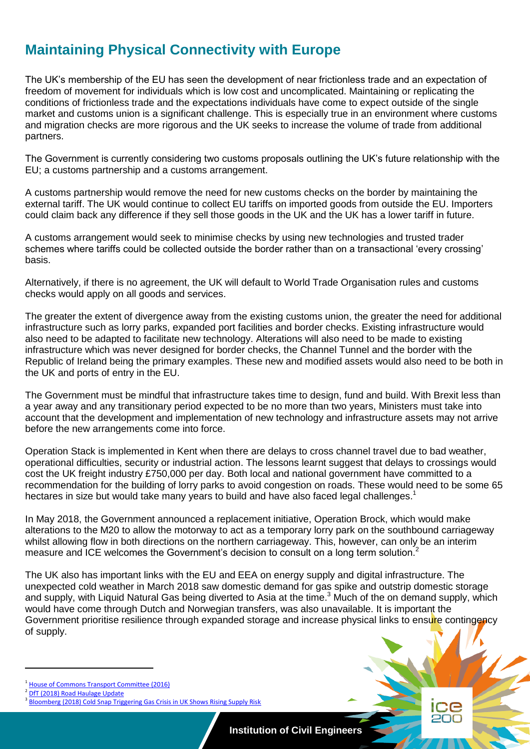# **Maintaining Physical Connectivity with Europe**

The UK's membership of the EU has seen the development of near frictionless trade and an expectation of freedom of movement for individuals which is low cost and uncomplicated. Maintaining or replicating the conditions of frictionless trade and the expectations individuals have come to expect outside of the single market and customs union is a significant challenge. This is especially true in an environment where customs and migration checks are more rigorous and the UK seeks to increase the volume of trade from additional partners.

The Government is currently considering two customs proposals outlining the UK's future relationship with the EU; a customs partnership and a customs arrangement.

A customs partnership would remove the need for new customs checks on the border by maintaining the external tariff. The UK would continue to collect EU tariffs on imported goods from outside the EU. Importers could claim back any difference if they sell those goods in the UK and the UK has a lower tariff in future.

A customs arrangement would seek to minimise checks by using new technologies and trusted trader schemes where tariffs could be collected outside the border rather than on a transactional 'every crossing' basis.

Alternatively, if there is no agreement, the UK will default to World Trade Organisation rules and customs checks would apply on all goods and services.

The greater the extent of divergence away from the existing customs union, the greater the need for additional infrastructure such as lorry parks, expanded port facilities and border checks. Existing infrastructure would also need to be adapted to facilitate new technology. Alterations will also need to be made to existing infrastructure which was never designed for border checks, the Channel Tunnel and the border with the Republic of Ireland being the primary examples. These new and modified assets would also need to be both in the UK and ports of entry in the EU.

The Government must be mindful that infrastructure takes time to design, fund and build. With Brexit less than a year away and any transitionary period expected to be no more than two years, Ministers must take into account that the development and implementation of new technology and infrastructure assets may not arrive before the new arrangements come into force.

Operation Stack is implemented in Kent when there are delays to cross channel travel due to bad weather, operational difficulties, security or industrial action. The lessons learnt suggest that delays to crossings would cost the UK freight industry £750,000 per day. Both local and national government have committed to a recommendation for the building of lorry parks to avoid congestion on roads. These would need to be some 65 hectares in size but would take many years to build and have also faced legal challenges.<sup>1</sup>

In May 2018, the Government announced a replacement initiative, Operation Brock, which would make alterations to the M20 to allow the motorway to act as a temporary lorry park on the southbound carriageway whilst allowing flow in both directions on the northern carriageway. This, however, can only be an interim measure and ICE welcomes the Government's decision to consult on a long term solution.<sup>2</sup>

The UK also has important links with the EU and EEA on energy supply and digital infrastructure. The unexpected cold weather in March 2018 saw domestic demand for gas spike and outstrip domestic storage and supply, with Liquid Natural Gas being diverted to Asia at the time.<sup>3</sup> Much of the on demand supply, which would have come through Dutch and Norwegian transfers, was also unavailable. It is important the Government prioritise resilience through expanded storage and increase physical links to ensure contingency of supply.

2 [DfT \(2018\) Road Haulage Update](https://www.gov.uk/government/speeches/road-haulage-update-21-may-2018)

**2 Institution of Civil Engineers**

<sup>1</sup> [House of Commons Transport Committee \(2016\)](https://publications.parliament.uk/pa/cm201617/cmselect/cmtrans/65/65.pdf)

<sup>&</sup>lt;sup>3</sup> [Bloomberg \(2018\) Cold Snap Triggering Gas Crisis in UK Shows Rising Supply Risk](https://www.bloomberg.com/news/articles/2018-03-01/cold-snap-triggering-gas-crisis-in-u-k-shows-rising-supply-risk)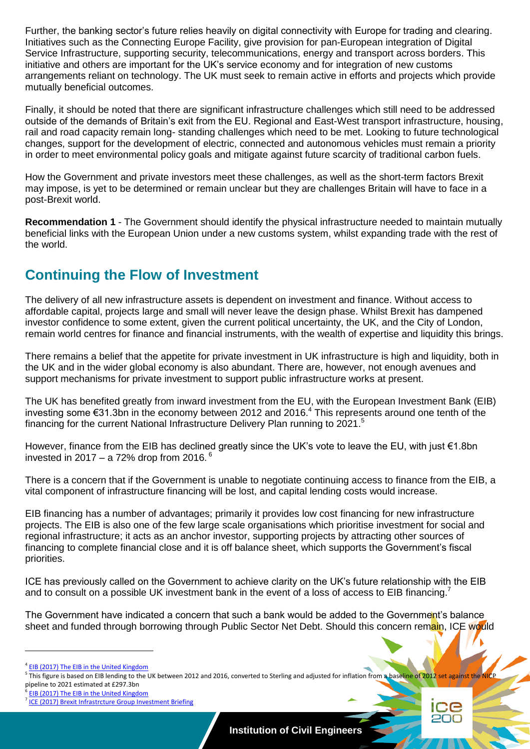Further, the banking sector's future relies heavily on digital connectivity with Europe for trading and clearing. Initiatives such as the Connecting Europe Facility, give provision for pan-European integration of Digital Service Infrastructure, supporting security, telecommunications, energy and transport across borders. This initiative and others are important for the UK's service economy and for integration of new customs arrangements reliant on technology. The UK must seek to remain active in efforts and projects which provide mutually beneficial outcomes.

Finally, it should be noted that there are significant infrastructure challenges which still need to be addressed outside of the demands of Britain's exit from the EU. Regional and East-West transport infrastructure, housing, rail and road capacity remain long- standing challenges which need to be met. Looking to future technological changes, support for the development of electric, connected and autonomous vehicles must remain a priority in order to meet environmental policy goals and mitigate against future scarcity of traditional carbon fuels.

How the Government and private investors meet these challenges, as well as the short-term factors Brexit may impose, is yet to be determined or remain unclear but they are challenges Britain will have to face in a post-Brexit world.

**Recommendation 1** - The Government should identify the physical infrastructure needed to maintain mutually beneficial links with the European Union under a new customs system, whilst expanding trade with the rest of the world.

### **Continuing the Flow of Investment**

The delivery of all new infrastructure assets is dependent on investment and finance. Without access to affordable capital, projects large and small will never leave the design phase. Whilst Brexit has dampened investor confidence to some extent, given the current political uncertainty, the UK, and the City of London, remain world centres for finance and financial instruments, with the wealth of expertise and liquidity this brings.

There remains a belief that the appetite for private investment in UK infrastructure is high and liquidity, both in the UK and in the wider global economy is also abundant. There are, however, not enough avenues and support mechanisms for private investment to support public infrastructure works at present.

The UK has benefited greatly from inward investment from the EU, with the European Investment Bank (EIB) investing some €31.3bn in the economy between 2012 and 2016. <sup>4</sup> This represents around one tenth of the financing for the current National Infrastructure Delivery Plan running to 2021.<sup>5</sup>

However, finance from the EIB has declined greatly since the UK's vote to leave the EU, with just €1.8bn invested in 2017 – a 72% drop from 2016. $^6$ 

There is a concern that if the Government is unable to negotiate continuing access to finance from the EIB, a vital component of infrastructure financing will be lost, and capital lending costs would increase.

EIB financing has a number of advantages; primarily it provides low cost financing for new infrastructure projects. The EIB is also one of the few large scale organisations which prioritise investment for social and regional infrastructure; it acts as an anchor investor, supporting projects by attracting other sources of financing to complete financial close and it is off balance sheet, which supports the Government's fiscal priorities.

ICE has previously called on the Government to achieve clarity on the UK's future relationship with the EIB and to consult on a possible UK investment bank in the event of a loss of access to EIB financing.<sup>7</sup>

The Government have indicated a concern that such a bank would be added to the Government's balance sheet and funded through borrowing through Public Sector Net Debt. Should this concern remain, ICE would

 $\overline{a}$ 



<sup>&</sup>lt;sup>4</sup> [EIB \(2017\) The EIB in the United Kingdom](http://www.eib.org/projects/regions/european-union/united-kingdom/index.htm)

<sup>&</sup>lt;sup>5</sup> This figure is based on EIB lending to the UK between 2012 and 2016, converted to Sterling and adjusted for inflation from a baseline of 2012 set against the NICP.

pipeline to 2021 estimated at £297.3bn<br><sup>6</sup> FIP (2017) The FIP in the United Kingde [EIB \(2017\) The EIB in the United Kingdom](http://www.eib.org/projects/regions/european-union/united-kingdom/index.htm)

<sup>&</sup>lt;sup>7</sup> [ICE \(2017\) Brexit Infrastrcture Group Investment Briefing](https://www.ice.org.uk/getattachment/news-and-insight/policy/brexit-infrastructure-group-investment-briefing/BIG-investment-briefing.pdf.aspx)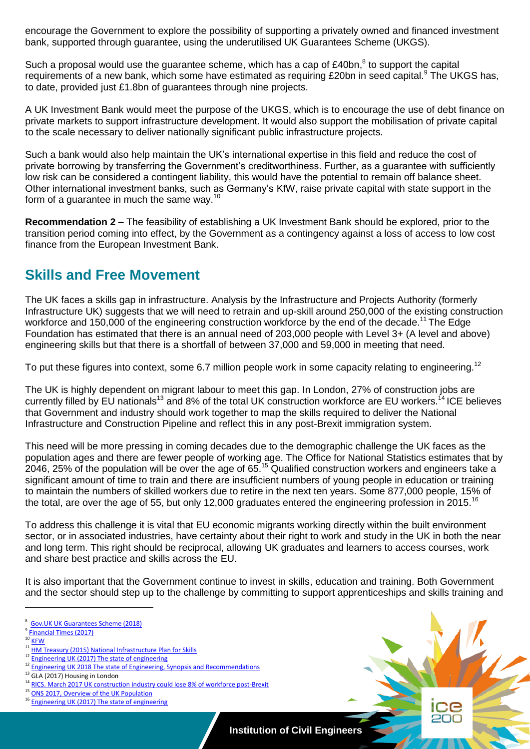encourage the Government to explore the possibility of supporting a privately owned and financed investment bank, supported through guarantee, using the underutilised UK Guarantees Scheme (UKGS).

Such a proposal would use the guarantee scheme, which has a cap of £40bn, ${}^{8}$  to support the capital requirements of a new bank, which some have estimated as requiring £20bn in seed capital.<sup>9</sup> The UKGS has, to date, provided just £1.8bn of guarantees through nine projects.

A UK Investment Bank would meet the purpose of the UKGS, which is to encourage the use of debt finance on private markets to support infrastructure development. It would also support the mobilisation of private capital to the scale necessary to deliver nationally significant public infrastructure projects.

Such a bank would also help maintain the UK's international expertise in this field and reduce the cost of private borrowing by transferring the Government's creditworthiness. Further, as a guarantee with sufficiently low risk can be considered a contingent liability, this would have the potential to remain off balance sheet. Other international investment banks, such as Germany's KfW, raise private capital with state support in the form of a guarantee in much the same wav.<sup>10</sup>

**Recommendation 2 –** The feasibility of establishing a UK Investment Bank should be explored, prior to the transition period coming into effect, by the Government as a contingency against a loss of access to low cost finance from the European Investment Bank.

#### **Skills and Free Movement**

The UK faces a skills gap in infrastructure. Analysis by the Infrastructure and Projects Authority (formerly Infrastructure UK) suggests that we will need to retrain and up-skill around 250,000 of the existing construction workforce and 150,000 of the engineering construction workforce by the end of the decade.<sup>11</sup> The Edge Foundation has estimated that there is an annual need of 203,000 people with Level 3+ (A level and above) engineering skills but that there is a shortfall of between 37,000 and 59,000 in meeting that need.

To put these figures into context, some 6.7 million people work in some capacity relating to engineering.<sup>12</sup>

The UK is highly dependent on migrant labour to meet this gap. In London, 27% of construction jobs are currently filled by EU nationals<sup>13</sup> and 8% of the total UK construction workforce are EU workers.<sup>14</sup> ICE believes that Government and industry should work together to map the skills required to deliver the National Infrastructure and Construction Pipeline and reflect this in any post-Brexit immigration system.

This need will be more pressing in coming decades due to the demographic challenge the UK faces as the population ages and there are fewer people of working age. The Office for National Statistics estimates that by 2046, 25% of the population will be over the age of 65.<sup>15</sup> Qualified construction workers and engineers take a significant amount of time to train and there are insufficient numbers of young people in education or training to maintain the numbers of skilled workers due to retire in the next ten years. Some 877,000 people, 15% of the total, are over the age of 55, but only 12,000 graduates entered the engineering profession in 2015.<sup>16</sup>

To address this challenge it is vital that EU economic migrants working directly within the built environment sector, or in associated industries, have certainty about their right to work and study in the UK in both the near and long term. This right should be reciprocal, allowing UK graduates and learners to access courses, work and share best practice and skills across the EU.

It is also important that the Government continue to invest in skills, education and training. Both Government and the sector should step up to the challenge by committing to support apprenticeships and skills training and

**4 Institution of Civil Engineers**

<sup>8</sup> [Gov.UK UK Guarantees Scheme \(2018\)](https://www.gov.uk/guidance/uk-guarantees-scheme)

<sup>&</sup>lt;sup>9</sup> [Financial Times \(2017\)](https://www.ft.com/content/6079b7b0-b574-11e7-aa26-bb002965bce8)  $10$  [KFW](https://www.kfw.de/PDF/Download-Center/Konzernthemen/KfW-im-%C3%9Cberblick/KfW-an-overview.pdf)

<sup>&</sup>lt;sup>11</sup> [HM Treasury \(2015\) National Infrastructure Plan for Skills](https://assets.publishing.service.gov.uk/government/uploads/system/uploads/attachment_data/file/464354/NIP_for_skills_final_web.pdf) [Engineering UK \(2017\) The state of engineering](http://www.engineeringuk.com/media/1355/enguk-report-2017.pdf)

<sup>&</sup>lt;sup>12</sup> Engineering UK 2018 The state of Engineering, Synopsis and Recommendations

 $13$  GLA (2017) Housing in London

<sup>&</sup>lt;sup>14</sup> [RICS. March 2017 UK construction industry could lose 8% of workforce post-Brexit](http://www.rics.org/uk/news/news-insight/press-releases/uk-construction-industry-could-lose-8-of-workforce-post-brexit-new-rics-figures-reveal-/)<br><sup>15</sup> RNS 804 R 2017 C 6 U LUIS R LUIS R LUIS R 2017

[ONS 2017, Overview of the UK Population](https://www.ons.gov.uk/peoplepopulationandcommunity/populationandmigration/populationestimates/articles/overviewoftheukpopulation/july2017)

<sup>&</sup>lt;sup>16</sup> [Engineering UK \(2017\) The state of engineering](http://www.engineeringuk.com/media/1355/enguk-report-2017.pdf)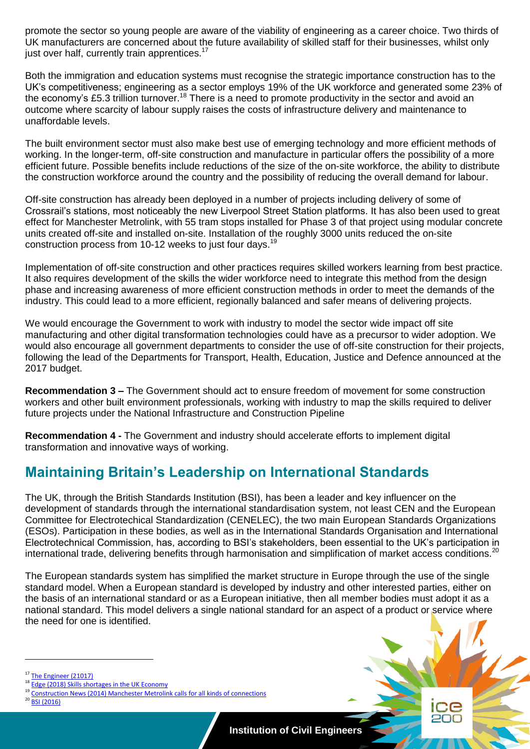promote the sector so young people are aware of the viability of engineering as a career choice. Two thirds of UK manufacturers are concerned about the future availability of skilled staff for their businesses, whilst only just over half, currently train apprentices.<sup>17</sup>

Both the immigration and education systems must recognise the strategic importance construction has to the UK's competitiveness; engineering as a sector employs 19% of the UK workforce and generated some 23% of the economy's £5.3 trillion turnover.<sup>18</sup> There is a need to promote productivity in the sector and avoid an outcome where scarcity of labour supply raises the costs of infrastructure delivery and maintenance to unaffordable levels.

The built environment sector must also make best use of emerging technology and more efficient methods of working. In the longer-term, off-site construction and manufacture in particular offers the possibility of a more efficient future. Possible benefits include reductions of the size of the on-site workforce, the ability to distribute the construction workforce around the country and the possibility of reducing the overall demand for labour.

Off-site construction has already been deployed in a number of projects including delivery of some of Crossrail's stations, most noticeably the new Liverpool Street Station platforms. It has also been used to great effect for Manchester Metrolink, with 55 tram stops installed for Phase 3 of that project using modular concrete units created off-site and installed on-site. Installation of the roughly 3000 units reduced the on-site construction process from 10-12 weeks to just four days.<sup>19</sup>

Implementation of off-site construction and other practices requires skilled workers learning from best practice. It also requires development of the skills the wider workforce need to integrate this method from the design phase and increasing awareness of more efficient construction methods in order to meet the demands of the industry. This could lead to a more efficient, regionally balanced and safer means of delivering projects.

We would encourage the Government to work with industry to model the sector wide impact off site manufacturing and other digital transformation technologies could have as a precursor to wider adoption. We would also encourage all government departments to consider the use of off-site construction for their projects, following the lead of the Departments for Transport, Health, Education, Justice and Defence announced at the 2017 budget.

**Recommendation 3 –** The Government should act to ensure freedom of movement for some construction workers and other built environment professionals, working with industry to map the skills required to deliver future projects under the National Infrastructure and Construction Pipeline

**Recommendation 4 -** The Government and industry should accelerate efforts to implement digital transformation and innovative ways of working.

### **Maintaining Britain's Leadership on International Standards**

The UK, through the British Standards Institution (BSI), has been a leader and key influencer on the development of standards through the international standardisation system, not least CEN and the European Committee for Electrotechical Standardization (CENELEC), the two main European Standards Organizations (ESOs). Participation in these bodies, as well as in the International Standards Organisation and International Electrotechnical Commission, has, according to BSI's stakeholders, been essential to the UK's participation in international trade, delivering benefits through harmonisation and simplification of market access conditions.<sup>20</sup>

The European standards system has simplified the market structure in Europe through the use of the single standard model. When a European standard is developed by industry and other interested parties, either on the basis of an international standard or as a European initiative, then all member bodies must adopt it as a national standard. This model delivers a single national standard for an aspect of a product or service where the need for one is identified.

**[BSI \(2016\)](file:///C:/Users/SHAPLAND_M/Desktop/ICE%20Design%20templates/05_word/05_no-cover/European%20Standards%20and%20the%20UK%20https:/www.bsigroup.com/LocalFiles/en-GB/EUREF.pdf)** 

[The Engineer \(21017\)](https://www.theengineer.co.uk/government-close-engineering-skills-gap/)

[Edge \(2018\) Skills shortages in the UK Economy](http://www.edge.co.uk/sites/default/files/documents/final_skills_shortage_bulletin_web_2.pdf)

[Construction News \(2014\) Manchester Metrolink calls for all kinds of connections](https://www.constructionnews.co.uk/markets/special-reports/manchester-metrolink-calls-for-all-kinds-of-connections/8660210.article)